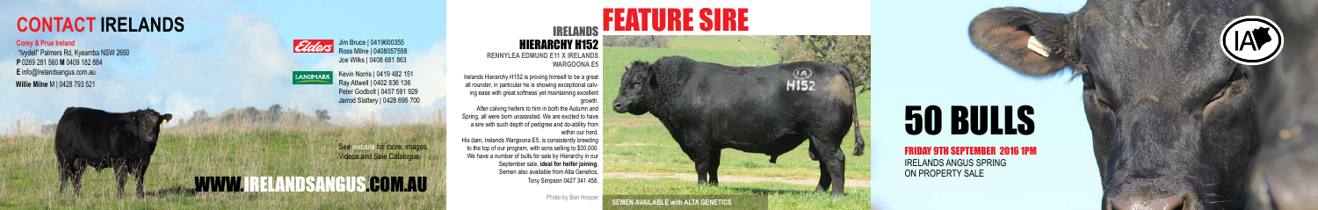# 50 BULLS

## FRIDAY 9TH SEPTEMBER 2016 1PM

IRELANDS ANGUS SPRING ON PROPERTY SALE

## HIERARCHY H152 **RENNYLEA EDMUND E11 X IRELANDS WARGOONA E5**

See website for more, images, Videos and Sale Catalogue.

**.COM.AU** 





## **CONTACT IRELANDS EXAMPLE SIRE**

## **Corey & Prue Ireland**

After calving heifers to him in both the Autumn and Spring, all were born unassisted. We are excited to have a sire with such depth of pedigree and do-ability from within our herd.

Jim Bruce | 0419600355 Ross Milne | 0408057558 Joe Wilks | 0408 681 863

> Irelands Hierarchy H152 is proving himself to be a great all rounder, in particular he is showing exceptional calv ing ease with great softness yet maintaining excellent

### growth.

 "Ivydell" Palmers Rd, Kyeamba NSW 2650 **P** 0269 281 560 **M** 0409 182 884 **E** info@Irelandsangus.com.au **Willie Milne** M | 0428 793 521

> His dam, Irelands Wargoona E5, is consistently breeding to the top of our program, with sons selling to \$30,000. We have a number of bulls for sale by Hierarchy in our September sale, **ideal for heifer joining**. Semen also available from Alta Genetics, Tony Simpson 0427 341 458.

Kevin Norris | 0419 482 151 Ray Attwell | 0402 836 136 Peter Godbolt | 0457 591 929 Jarrod Slattery | 0428 695 700